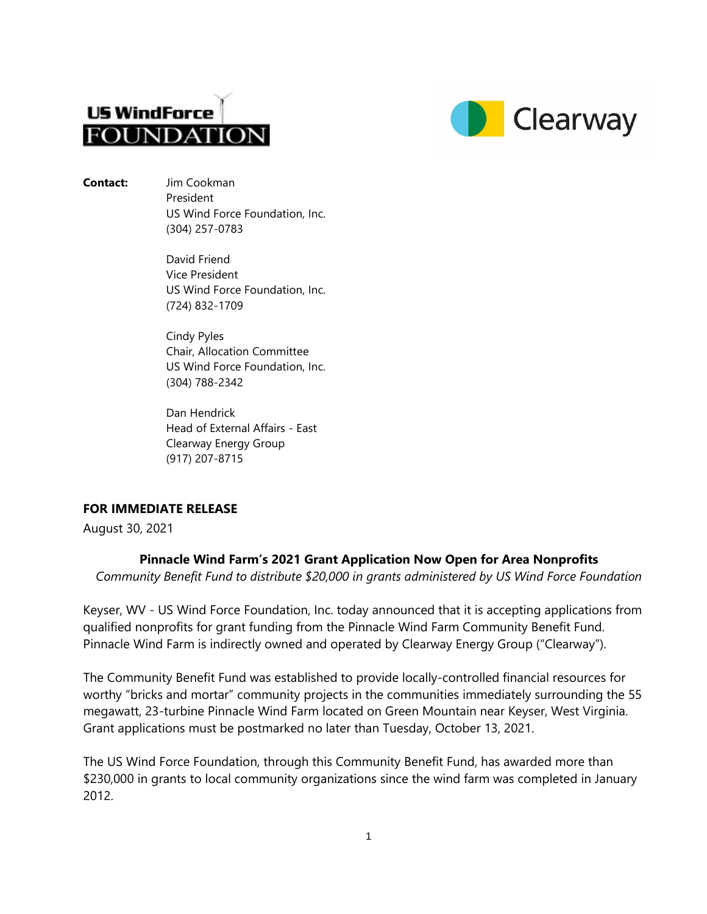



**Contact:** Jim Cookman President US Wind Force Foundation, Inc. (304) 257-0783

> David Friend Vice President US Wind Force Foundation, Inc. (724) 832-1709

> Cindy Pyles Chair, Allocation Committee US Wind Force Foundation, Inc. (304) 788-2342

Dan Hendrick Head of External Affairs - East Clearway Energy Group (917) 207-8715

## **FOR IMMEDIATE RELEASE**

August 30, 2021

## **Pinnacle Wind Farm's 2021 Grant Application Now Open for Area Nonprofits**

*Community Benefit Fund to distribute \$20,000 in grants administered by US Wind Force Foundation* 

Keyser, WV - US Wind Force Foundation, Inc. today announced that it is accepting applications from qualified nonprofits for grant funding from the Pinnacle Wind Farm Community Benefit Fund. Pinnacle Wind Farm is indirectly owned and operated by Clearway Energy Group ("Clearway").

The Community Benefit Fund was established to provide locally-controlled financial resources for worthy "bricks and mortar" community projects in the communities immediately surrounding the 55 megawatt, 23-turbine Pinnacle Wind Farm located on Green Mountain near Keyser, West Virginia. Grant applications must be postmarked no later than Tuesday, October 13, 2021.

The US Wind Force Foundation, through this Community Benefit Fund, has awarded more than \$230,000 in grants to local community organizations since the wind farm was completed in January 2012.